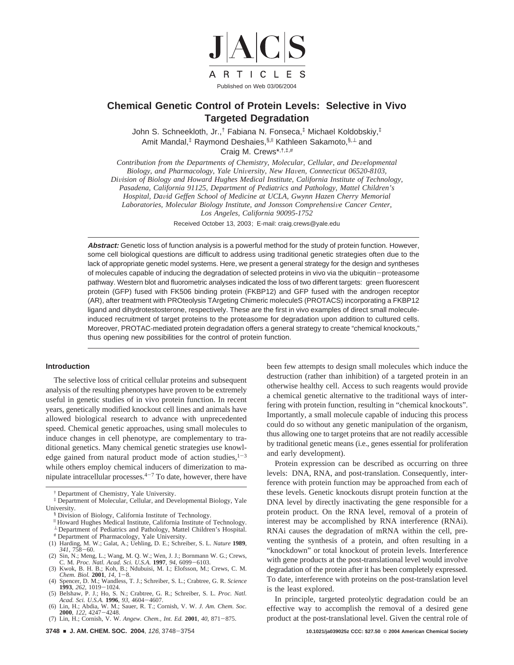

# **Chemical Genetic Control of Protein Levels: Selective in Vivo Targeted Degradation**

John S. Schneekloth, Jr.,† Fabiana N. Fonseca,‡ Michael Koldobskiy,‡ Amit Mandal,<sup>‡</sup> Raymond Deshaies, §,<sup>||</sup> Kathleen Sakamoto, §,⊥ and Craig M. Crews\*,†,‡,#

*Contribution from the Departments of Chemistry, Molecular, Cellular, and Developmental Biology, and Pharmacology, Yale Uni*V*ersity, New Ha*V*en, Connecticut 06520-8103, Di*V*ision of Biology and Howard Hughes Medical Institute, California Institute of Technology, Pasadena, California 91125, Department of Pediatrics and Pathology, Mattel Children's Hospital, Da*V*id Geffen School of Medicine at UCLA, Gwynn Hazen Cherry Memorial Laboratories, Molecular Biology Institute, and Jonsson Comprehensive Cancer Center, Los Angeles, California 90095-1752*

Received October 13, 2003; E-mail: craig.crews@yale.edu

**Abstract:** Genetic loss of function analysis is a powerful method for the study of protein function. However, some cell biological questions are difficult to address using traditional genetic strategies often due to the lack of appropriate genetic model systems. Here, we present a general strategy for the design and syntheses of molecules capable of inducing the degradation of selected proteins in vivo via the ubiquitin-proteasome pathway. Western blot and fluorometric analyses indicated the loss of two different targets: green fluorescent protein (GFP) fused with FK506 binding protein (FKBP12) and GFP fused with the androgen receptor (AR), after treatment with PROteolysis TArgeting Chimeric moleculeS (PROTACS) incorporating a FKBP12 ligand and dihydrotestosterone, respectively. These are the first in vivo examples of direct small moleculeinduced recruitment of target proteins to the proteasome for degradation upon addition to cultured cells. Moreover, PROTAC-mediated protein degradation offers a general strategy to create "chemical knockouts," thus opening new possibilities for the control of protein function.

## **Introduction**

The selective loss of critical cellular proteins and subsequent analysis of the resulting phenotypes have proven to be extremely useful in genetic studies of in vivo protein function. In recent years, genetically modified knockout cell lines and animals have allowed biological research to advance with unprecedented speed. Chemical genetic approaches, using small molecules to induce changes in cell phenotype, are complementary to traditional genetics. Many chemical genetic strategies use knowledge gained from natural product mode of action studies, $1-3$ while others employ chemical inducers of dimerization to manipulate intracellular processes. $4-7$  To date, however, there have

- § Division of Biology, California Institute of Technology.
- <sup>|</sup> Howard Hughes Medical Institute, California Institute of Technology.
- <sup>⊥</sup> Department of Pediatrics and Pathology, Mattel Children's Hospital. # Department of Pharmacology, Yale University.<br>
(1) Harding, M. W.; Galat, A.; Uehling, D. E.; Schreiber, S. L. Nature 1989,
- 
- (1) Harding, M. W.; Galat, A.; Uehling, D. E.; Schreiber, S. L. *Nature* **1989**,<br>
341, 758–60.<br>
(2) Sin, N.; Meng, L.; Wang, M. Q. W.; Wen, J. J.; Bornmann W. G.; Crews,<br>
C. M. *Proc. Natl. Acad. Sci. U.S.A*. **1997**, 94, 6
- 
- *Chem. Biol.* **2001**, *14*, 1–8.<br>
(4) Spencer, D. M.; Wandless, T. J.; Schreiber, S. L.; Crabtree, G. R. *Science*<br> **1993**, 262, 1019-1024.<br>
(5) Belshaw, P. J.: Ho. S. N.: Crabtree, G. R.: Schreiber, S. L. *Proc. Natl.* (5) Belshaw, P. J.; Ho, S. N.; Crabtree, G. R.; Schreiber, S. L. *Proc. Natl.*
- *Acad. Sci. U.S.A.* **<sup>1996</sup>**, *<sup>93</sup>*, 4604-4607. (6) Lin, H.; Abdia, W. M.; Sauer, R. T.; Cornish, V. W. *J. Am. Chem. Soc.*
- **<sup>2000</sup>**, *<sup>122</sup>*, 4247-4248. (7) Lin, H.; Cornish, V. W. *Angew. Chem., Int. Ed.* **<sup>2001</sup>**, *<sup>40</sup>*, 871-875.

been few attempts to design small molecules which induce the destruction (rather than inhibition) of a targeted protein in an otherwise healthy cell. Access to such reagents would provide a chemical genetic alternative to the traditional ways of interfering with protein function, resulting in "chemical knockouts". Importantly, a small molecule capable of inducing this process could do so without any genetic manipulation of the organism, thus allowing one to target proteins that are not readily accessible by traditional genetic means (i.e., genes essential for proliferation and early development).

Protein expression can be described as occurring on three levels: DNA, RNA, and post-translation. Consequently, interference with protein function may be approached from each of these levels. Genetic knockouts disrupt protein function at the DNA level by directly inactivating the gene responsible for a protein product. On the RNA level, removal of a protein of interest may be accomplished by RNA interference (RNAi). RNAi causes the degradation of mRNA within the cell, preventing the synthesis of a protein, and often resulting in a "knockdown" or total knockout of protein levels. Interference with gene products at the post-translational level would involve degradation of the protein after it has been completely expressed. To date, interference with proteins on the post-translation level is the least explored.

In principle, targeted proteolytic degradation could be an effective way to accomplish the removal of a desired gene product at the post-translational level. Given the central role of

<sup>†</sup> Department of Chemistry, Yale University.

<sup>‡</sup> Department of Molecular, Cellular, and Developmental Biology, Yale University.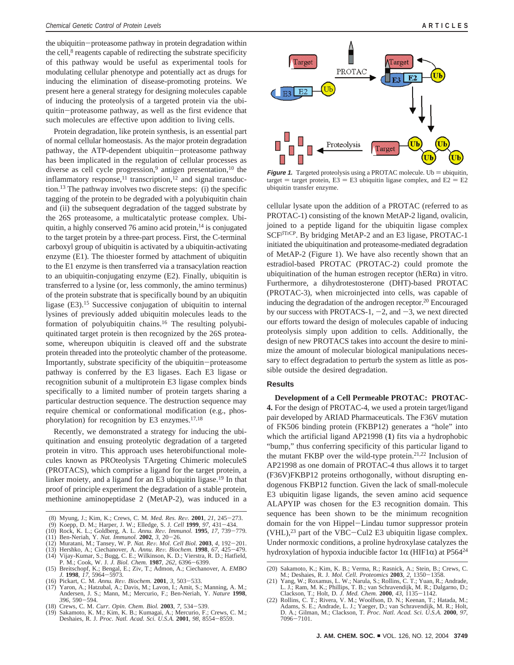the ubiquitin-proteasome pathway in protein degradation within the cell, $\delta$  reagents capable of redirecting the substrate specificity of this pathway would be useful as experimental tools for modulating cellular phenotype and potentially act as drugs for inducing the elimination of disease-promoting proteins. We present here a general strategy for designing molecules capable of inducing the proteolysis of a targeted protein via the ubiquitin-proteasome pathway, as well as the first evidence that such molecules are effective upon addition to living cells.

Protein degradation, like protein synthesis, is an essential part of normal cellular homeostasis. As the major protein degradation pathway, the ATP-dependent ubiquitin-proteasome pathway has been implicated in the regulation of cellular processes as diverse as cell cycle progression,<sup>9</sup> antigen presentation,<sup>10</sup> the inflammatory response, $^{11}$  transcription, $^{12}$  and signal transduction.13 The pathway involves two discrete steps: (i) the specific tagging of the protein to be degraded with a polyubiquitin chain and (ii) the subsequent degradation of the tagged substrate by the 26S proteasome, a multicatalytic protease complex. Ubiquitin, a highly conserved 76 amino acid protein, $14$  is conjugated to the target protein by a three-part process. First, the C-terminal carboxyl group of ubiquitin is activated by a ubiquitin-activating enzyme (E1). The thioester formed by attachment of ubiquitin to the E1 enzyme is then transferred via a transacylation reaction to an ubiquitin-conjugating enzyme (E2). Finally, ubiquitin is transferred to a lysine (or, less commonly, the amino terminus) of the protein substrate that is specifically bound by an ubiquitin ligase (E3).15 Successive conjugation of ubiquitin to internal lysines of previously added ubiquitin molecules leads to the formation of polyubiquitin chains.<sup>16</sup> The resulting polyubiquitinated target protein is then recognized by the 26S proteasome, whereupon ubiquitin is cleaved off and the substrate protein threaded into the proteolytic chamber of the proteasome. Importantly, substrate specificity of the ubiquitin-proteasome pathway is conferred by the E3 ligases. Each E3 ligase or recognition subunit of a multiprotein E3 ligase complex binds specifically to a limited number of protein targets sharing a particular destruction sequence. The destruction sequence may require chemical or conformational modification (e.g., phosphorylation) for recognition by E3 enzymes.17,18

Recently, we demonstrated a strategy for inducing the ubiquitination and ensuing proteolytic degradation of a targeted protein in vitro. This approach uses heterobifunctional molecules known as PROteolysis TArgeting Chimeric moleculeS (PROTACS), which comprise a ligand for the target protein, a linker moiety, and a ligand for an E3 ubiquitin ligase.19 In that proof of principle experiment the degradation of a stable protein, methionine aminopeptidase 2 (MetAP-2), was induced in a

- (8) Myung, J.; Kim, K.; Crews, C. M. *Med. Res. Re*V*.* **<sup>2001</sup>**, *<sup>21</sup>*, 245-273.
- (9) Koepp, D. M.; Harper, J. W.; Elledge, S. J. *Cell* **<sup>1999</sup>**, *<sup>97</sup>*, 431-434.
- (10) Rock, K. L.; Goldberg, A. L. *Annu. Re*V*. Immunol.* **<sup>1995</sup>**, *<sup>17</sup>*, 739-779.
- (12) Ben-Nerian, M.; Tansey, W. P. *Nat. Rev. Mol. Cell Biol.* **2003**, 4, 192–201.
- 
- (12) Muratani, M.; Tansey, W. P. *Nat. Re*V*. Mol. Cell Biol.* **<sup>2003</sup>**, *<sup>4</sup>*, 192-201. (13) Hershko, A.; Ciechanover, A. *Annu. Re*V*. Biochem.* **<sup>1998</sup>**, *<sup>67</sup>*, 425-479. (14) Vijay-Kumar, S.; Bugg, C. E.; Wilkinson, K. D.; Vierstra, R. D.; Hatfield, P. M.; Cook, W. J. *J. Biol. Chem.* **<sup>1987</sup>**, *<sup>262</sup>*, 6396-6399.
- (15) Breitschopf, K.; Bengal, E.; Ziv, T.; Admon, A.; Ciechanover, A. *EMBO*
- *(16)* Pickart, C. M. Annu. Rev. Biochem. 2001, 3, 503-533.
- (16) Pickart, C. M. *Annu. Re*V*. Biochem.* **<sup>2001</sup>**, *<sup>3</sup>*, 503-533. (17) Yaron, A.; Hatzubal, A.; Davis, M.; Lavon, I.; Amit, S.; Manning, A. M.; Andersen, J. S.; Mann, M.; Mercurio, F.; Ben-Neriah, Y. *Nature* **1998**, 396, 590-594.<br>(18) Crews, C. M. Curr. Opin. Chem. Biol. **2003**, 7, 534-539.
- 
- (18) Crews, C. M. Curr. Opin. Chem. Biol. **2003**, 7, 534–539.<br>(19) Sakamoto, K. M.; Kim, K. B.; Kumagai, A.; Mercurio, F.; Crews, C. M.; Deshaies, R. J. *Proc. Natl. Acad. Sci. U.S.A.* **2001**, 98, 8554–8559.



**Figure 1.** Targeted proteolysis using a PROTAC molecule. Ub  $=$  ubiquitin, target = target protein,  $E3 = E3$  ubiquitin ligase complex, and  $E2 = E2$ ubiquitin transfer enzyme.

cellular lysate upon the addition of a PROTAC (referred to as PROTAC-1) consisting of the known MetAP-2 ligand, ovalicin, joined to a peptide ligand for the ubiquitin ligase complex SCF*<sup>â</sup>*TrCP. By bridging MetAP-2 and an E3 ligase, PROTAC-1 initiated the ubiquitination and proteasome-mediated degradation of MetAP-2 (Figure 1). We have also recently shown that an estradiol-based PROTAC (PROTAC-2) could promote the ubiquitination of the human estrogen receptor ( $hER\alpha$ ) in vitro. Furthermore, a dihydrotestosterone (DHT)-based PROTAC (PROTAC-3), when microinjected into cells, was capable of inducing the degradation of the androgen receptor.20 Encouraged by our success with PROTACS-1,  $-2$ , and  $-3$ , we next directed our efforts toward the design of molecules capable of inducing proteolysis simply upon addition to cells. Additionally, the design of new PROTACS takes into account the desire to minimize the amount of molecular biological manipulations necessary to effect degradation to perturb the system as little as possible outside the desired degradation.

## **Results**

**Development of a Cell Permeable PROTAC: PROTAC-4.** For the design of PROTAC-4, we used a protein target/ligand pair developed by ARIAD Pharmaceuticals. The F36V mutation of FK506 binding protein (FKBP12) generates a "hole" into which the artificial ligand AP21998 (**1**) fits via a hydrophobic "bump," thus conferring specificity of this particular ligand to the mutant FKBP over the wild-type protein.<sup>21,22</sup> Inclusion of AP21998 as one domain of PROTAC-4 thus allows it to target (F36V)FKBP12 proteins orthogonally, without disrupting endogenous FKBP12 function. Given the lack of small-molecule E3 ubiquitin ligase ligands, the seven amino acid sequence ALAPYIP was chosen for the E3 recognition domain. This sequence has been shown to be the minimum recognition domain for the von Hippel-Lindau tumor suppressor protein  $(VHL)$ ,<sup>23</sup> part of the VBC-Cul2 E3 ubiquitin ligase complex. Under normoxic conditions, a proline hydroxylase catalyzes the hydroxylation of hypoxia inducible factor  $1\alpha$  (HIF1 $\alpha$ ) at P564<sup>24</sup>

<sup>(20)</sup> Sakamoto, K.; Kim, K. B.; Verma, R.; Rasnick, A.; Stein, B.; Crews, C. M.; Deshaies, R. J. Mol. Cell. Proteomics 2003, 2, 1350-1358. M.; Deshaies, R. J. *Mol. Cell. Proteomics* **<sup>2003</sup>**, *<sup>2</sup>*, 1350-1358. (21) Yang, W.; Roxamus, L. W.; Narula, S.; Rollins, C. T.; Yuan, R.; Andrade,

L. J.; Ram, M. K.; Phillips, T. B.; van Schravendijk, M. R.; Dalgarno, D.; Clackson, T.; Holt, D. J. Med. Chem. 2000, 43, 1135-1142. Clackson, T.; Holt, D. *J. Med. Chem.* **<sup>2000</sup>**, *<sup>43</sup>*, 1135-1142. (22) Rollins, C. T.; Rivera, V. M.; Woolfson, D. N.; Keenan, T.; Hatada, M.;

Adams, S. E.; Andrade, L. J.; Yaeger, D.; van Schravendijk, M. R.; Holt, D. A.; Gilman, M.; Clackson, T. *Proc. Natl. Acad. Sci. U.S.A.* **2000**, *97*, <sup>7096</sup>-7101.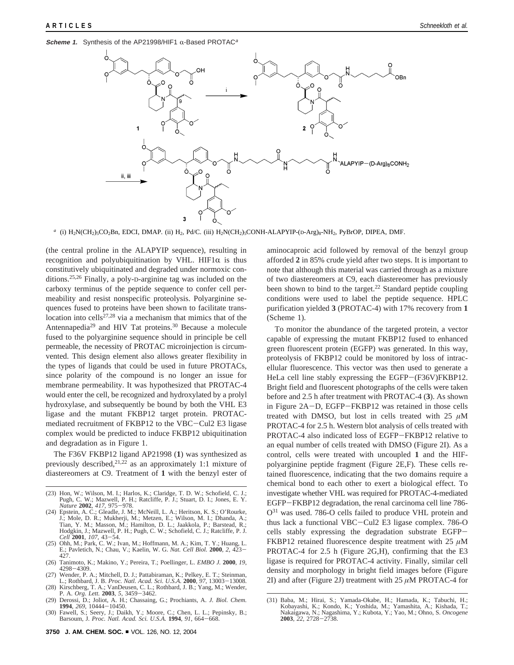**Scheme 1.** Synthesis of the AP21998/HIF1  $\alpha$ -Based PROTAC<sup>a</sup>



*<sup>a</sup>* (i) H2N(CH2)5CO2Bn, EDCI, DMAP. (ii) H2, Pd/C. (iii) H2N(CH2)5CONH-ALAPYIP-(D-Arg)8-NH2, PyBrOP, DIPEA, DMF.

(the central proline in the ALAPYIP sequence), resulting in recognition and polyubiquitination by VHL. HIF1 $\alpha$  is thus constitutively ubiquitinated and degraded under normoxic conditions.25,26 Finally, a poly-D-arginine tag was included on the carboxy terminus of the peptide sequence to confer cell permeability and resist nonspecific proteolysis. Polyarginine sequences fused to proteins have been shown to facilitate translocation into cells<sup>27,28</sup> via a mechanism that mimics that of the Antennapedia<sup>29</sup> and HIV Tat proteins.<sup>30</sup> Because a molecule fused to the polyarginine sequence should in principle be cell permeable, the necessity of PROTAC microinjection is circumvented. This design element also allows greater flexibility in the types of ligands that could be used in future PROTACs, since polarity of the compound is no longer an issue for membrane permeability. It was hypothesized that PROTAC-4 would enter the cell, be recognized and hydroxylated by a prolyl hydroxylase, and subsequently be bound by both the VHL E3 ligase and the mutant FKBP12 target protein. PROTACmediated recruitment of FKBP12 to the VBC-Cul2 E3 ligase complex would be predicted to induce FKBP12 ubiquitination and degradation as in Figure 1.

The F36V FKBP12 ligand AP21998 (**1**) was synthesized as previously described,  $2^{1,22}$  as an approximately 1:1 mixture of diastereomers at C9. Treatment of **1** with the benzyl ester of

- (23) Hon, W.; Wilson, M. I.; Harlos, K.; Claridge, T. D. W.; Schofield, C. J.; Pugh, C. W.; Mazwell, P. H.; Ratcliffe, P. J.; Stuart, D. I.; Jones, E. Y.
- *Nature* **<sup>2002</sup>**, *<sup>417</sup>*, 975-978. (24) Epstein, A. C.; Gleadle, J. M.; McNeill, L. A.; Heritson, K. S.; O'Rourke, J.; Mole, D. R.; Mukherji, M.; Metzen, E.; Wilson, M. I.; Dhanda, A.; Tian, Y. M.; Masson, M.; Hamilton, D. L.; Jaakkola, P.; Barstead, R.; Hodgkin, J.; Mazwell, P. H.; Pugh, C. W.; Schofield, C. J.; Ratcliffe, P. J.
- *Cell* **<sup>2001</sup>**, *<sup>107</sup>*, 43-54. (25) Ohh, M.; Park, C. W.; Ivan, M.; Hoffmann, M. A.; Kim, T. Y.; Huang, L. E.; Pavletich, N.; Chau, V.; Kaelin, W. G. *Nat. Cell Biol.* **<sup>2000</sup>**, *<sup>2</sup>*, 423- 427.
- (26) Tanimoto, K.; Makino, Y.; Pereira, T.; Poellinger, L. *EMBO J.* **2000**, *19*, <sup>4298</sup>-4309. (27) Wender, P. A.; Mitchell, D. J.; Pattabiraman, K.; Pelkey, E. T.; Steinman,
- L.; Rothbard, J. B. *Proc. Natl. Acad. Sci. U.S.A.* **<sup>2000</sup>**, *<sup>97</sup>*, 13003-13008. (28) Kirschberg, T. A.; VanDeusen, C. L.; Rothbard, J. B.; Yang, M.; Wender,
- P. A. *Org. Lett.* **<sup>2003</sup>**, *<sup>5</sup>*, 3459-3462.
- (29) Derossi, D.; Joliot, A. H.; Chassaing, G.; Prochiants, A. *J. Biol. Chem.* **<sup>1994</sup>**, *<sup>269</sup>*, 10444-10450. (30) Fawell, S.; Seery, J.; Daikh, Y.; Moore, C.; Chen, L. L.; Pepinsky, B.;
- Barsoum, J. *Proc. Natl. Acad. Sci. U.S.A.* **<sup>1994</sup>**, *<sup>91</sup>*, 664-668.

aminocaproic acid followed by removal of the benzyl group afforded **2** in 85% crude yield after two steps. It is important to note that although this material was carried through as a mixture of two diastereomers at C9, each diastereomer has previously been shown to bind to the target.<sup>22</sup> Standard peptide coupling conditions were used to label the peptide sequence. HPLC purification yielded **3** (PROTAC-4) with 17% recovery from **1** (Scheme 1).

To monitor the abundance of the targeted protein, a vector capable of expressing the mutant FKBP12 fused to enhanced green fluorescent protein (EGFP) was generated. In this way, proteolysis of FKBP12 could be monitored by loss of intracellular fluorescence. This vector was then used to generate a HeLa cell line stably expressing the EGFP-(F36V)FKBP12. Bright field and fluorescent photographs of the cells were taken before and 2.5 h after treatment with PROTAC-4 (**3**). As shown in Figure 2A-D, EGFP-FKBP12 was retained in those cells treated with DMSO, but lost in cells treated with 25  $\mu$ M PROTAC-4 for 2.5 h. Western blot analysis of cells treated with PROTAC-4 also indicated loss of EGFP-FKBP12 relative to an equal number of cells treated with DMSO (Figure 2I). As a control, cells were treated with uncoupled **1** and the HIFpolyarginine peptide fragment (Figure 2E,F). These cells retained fluorescence, indicating that the two domains require a chemical bond to each other to exert a biological effect. To investigate whether VHL was required for PROTAC-4-mediated EGFP-FKBP12 degradation, the renal carcinoma cell line 786- O31 was used. 786-O cells failed to produce VHL protein and thus lack a functional VBC-Cul2 E3 ligase complex. 786-O cells stably expressing the degradation substrate EGFP-FKBP12 retained fluorescence despite treatment with 25 *µ*M PROTAC-4 for 2.5 h (Figure 2G,H), confirming that the E3 ligase is required for PROTAC-4 activity. Finally, similar cell density and morphology in bright field images before (Figure 2I) and after (Figure 2J) treatment with 25 *µ*M PROTAC-4 for

<sup>(31)</sup> Baba, M.; Hirai, S.; Yamada-Okabe, H.; Hamada, K.; Tabuchi, H.; Kobayashi, K.; Kondo, K.; Yoshida, M.; Yamashita, A.; Kishada, T.; Nakaigawa, N.; Nagashima, Y.; Kubota, Y.; Yao, M.; Ohno, S. *Oncogene* **<sup>2003</sup>**, *<sup>22</sup>*, 2728-2738.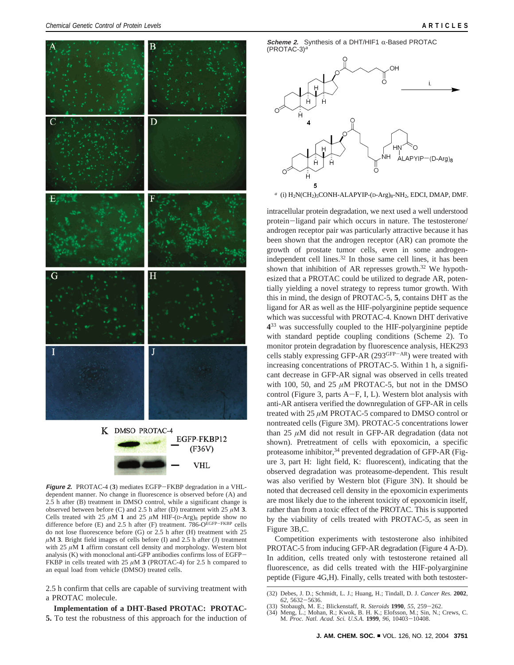

**Figure 2.** PROTAC-4 (**3**) mediates EGFP-FKBP degradation in a VHLdependent manner. No change in fluorescence is observed before (A) and 2.5 h after (B) treatment in DMSO control, while a significant change is observed between before (C) and 2.5 h after (D) treatment with 25  $\mu$ M **3**. Cells treated with 25  $\mu$ M 1 and 25  $\mu$ M HIF-(D-Arg)<sub>8</sub> peptide show no difference before (E) and 2.5 h after (F) treatment. 786- $O^{EGFP-FKBP}$  cells do not lose fluorescence before (G) or 2.5 h after (H) treatment with 25  $\mu$ M **3**. Bright field images of cells before (I) and 2.5 h after (J) treatment with  $25 \mu M$  **1** affirm constant cell density and morphology. Western blot analysis (K) with monoclonal anti-GFP antibodies confirms loss of EGFP-FKBP in cells treated with 25  $\mu$ M **3** (PROTAC-4) for 2.5 h compared to an equal load from vehicle (DMSO) treated cells.

2.5 h confirm that cells are capable of surviving treatment with a PROTAC molecule.

## **Implementation of a DHT-Based PROTAC: PROTAC-**

**5.** To test the robustness of this approach for the induction of

**Scheme 2.** Synthesis of a DHT/HIF1  $\alpha$ -Based PROTAC  $(PROTAC-3)<sup>a</sup>$ 



*<sup>a</sup>* (i) H2N(CH2)5CONH-ALAPYIP-(D-Arg)8-NH2, EDCI, DMAP, DMF.

intracellular protein degradation, we next used a well understood protein-ligand pair which occurs in nature. The testosterone/ androgen receptor pair was particularly attractive because it has been shown that the androgen receptor (AR) can promote the growth of prostate tumor cells, even in some androgenindependent cell lines.<sup>32</sup> In those same cell lines, it has been shown that inhibition of AR represses growth.<sup>32</sup> We hypothesized that a PROTAC could be utilized to degrade AR, potentially yielding a novel strategy to repress tumor growth. With this in mind, the design of PROTAC-5, **5**, contains DHT as the ligand for AR as well as the HIF-polyarginine peptide sequence which was successful with PROTAC-4. Known DHT derivative **4**<sup>33</sup> was successfully coupled to the HIF-polyarginine peptide with standard peptide coupling conditions (Scheme 2). To monitor protein degradation by fluorescence analysis, HEK293 cells stably expressing GFP-AR (293GFP-AR) were treated with increasing concentrations of PROTAC-5. Within 1 h, a significant decrease in GFP-AR signal was observed in cells treated with 100, 50, and 25  $\mu$ M PROTAC-5, but not in the DMSO control (Figure 3, parts  $A-F$ , I, L). Western blot analysis with anti-AR antisera verified the downregulation of GFP-AR in cells treated with 25 *µ*M PROTAC-5 compared to DMSO control or nontreated cells (Figure 3M). PROTAC-5 concentrations lower than  $25 \mu M$  did not result in GFP-AR degradation (data not shown). Pretreatment of cells with epoxomicin, a specific proteasome inhibitor,<sup>34</sup> prevented degradation of GFP-AR (Figure 3, part H: light field, K: fluorescent), indicating that the observed degradation was proteasome-dependent. This result was also verified by Western blot (Figure 3N). It should be noted that decreased cell density in the epoxomicin experiments are most likely due to the inherent toxicity of epoxomicin itself, rather than from a toxic effect of the PROTAC. This is supported by the viability of cells treated with PROTAC-5, as seen in Figure 3B,C.

Competition experiments with testosterone also inhibited PROTAC-5 from inducing GFP-AR degradation (Figure 4 A-D). In addition, cells treated only with testosterone retained all fluorescence, as did cells treated with the HIF-polyarginine peptide (Figure 4G,H). Finally, cells treated with both testoster-

<sup>(32)</sup> Debes, J. D.; Schmidt, L. J.; Huang, H.; Tindall, D. J. *Cancer Res.* **2002**,

<sup>(33)</sup> Stobaugh, M. E.; Blickenstaff, R. Steroids 1990, 55, 259-262.

<sup>(33)</sup> Stobaugh, M. E.; Blickenstaff, R. *Steroids* **1990**, 55, 259–262.<br>(34) Meng, L.; Mohan, R.; Kwok, B. H. K.; Elofsson, M.; Sin, N.; Crews, C.<br>M. *Proc. Natl. Acad. Sci. U.S.A.* **1999**, 96, 10403–10408.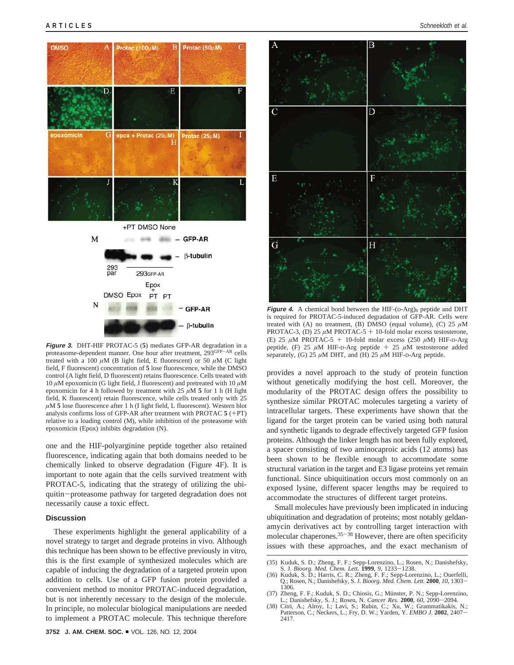

**Figure 3.** DHT-HIF PROTAC-5 (**5**) mediates GFP-AR degradation in a proteasome-dependent manner. One hour after treatment, 293GFP-AR cells treated with a 100  $\mu$ M (B light field, E fluorescent) or 50  $\mu$ M (C light field, F fluorescent) concentration of **5** lose fluorescence, while the DMSO control (A light field, D fluorescent) retains fluorescence. Cells treated with 10 *µ*M epoxomicin (G light field, J fluorescent) and pretreated with 10 *µ*M epoxomicin for 4 h followed by treatment with 25  $\mu$ M **5** for 1 h (H light field, K fluorescent) retain fluorescence, while cells treated only with 25 *µ*M **5** lose fluorescence after 1 h (I light field, L fluorescent). Western blot analysis confirms loss of GFP-AR after treatment with PROTAC **<sup>5</sup>** (+PT) relative to a loading control (M), while inhibition of the proteasome with epoxomicin (Epox) inhibits degradation (N).

one and the HIF-polyarginine peptide together also retained fluorescence, indicating again that both domains needed to be chemically linked to observe degradation (Figure 4F). It is important to note again that the cells survived treatment with PROTAC-5, indicating that the strategy of utilizing the ubiquitin-proteasome pathway for targeted degradation does not necessarily cause a toxic effect.

## **Discussion**

These experiments highlight the general applicability of a novel strategy to target and degrade proteins in vivo. Although this technique has been shown to be effective previously in vitro*,* this is the first example of synthesized molecules which are capable of inducing the degradation of a targeted protein upon addition to cells. Use of a GFP fusion protein provided a convenient method to monitor PROTAC-induced degradation, but is not inherently necessary to the design of the molecule. In principle, no molecular biological manipulations are needed to implement a PROTAC molecule. This technique therefore



**Figure 4.** A chemical bond between the HIF-(D-Arg)<sub>8</sub> peptide and DHT is required for PROTAC-5-induced degradation of GFP-AR. Cells were treated with (A) no treatment, (B) DMSO (equal volume), (C) 25 *µ*M PROTAC-3, (D) 25  $\mu$ M PROTAC-5 + 10-fold molar excess testosterone, (E) 25  $\mu$ M PROTAC-5 + 10-fold molar excess (250  $\mu$ M) HIF-D-Arg peptide, (F) 25 *<sup>µ</sup>*M HIF-D-Arg peptide + <sup>25</sup> *<sup>µ</sup>*M testosterone added separately, (G)  $25 \mu M$  DHT, and (H)  $25 \mu M$  HIF-D-Arg peptide.

provides a novel approach to the study of protein function without genetically modifying the host cell. Moreover, the modularity of the PROTAC design offers the possibility to synthesize similar PROTAC molecules targeting a variety of intracellular targets. These experiments have shown that the ligand for the target protein can be varied using both natural and synthetic ligands to degrade effectively targeted GFP fusion proteins. Although the linker length has not been fully explored, a spacer consisting of two aminocaproic acids (12 atoms) has been shown to be flexible enough to accommodate some structural variation in the target and E3 ligase proteins yet remain functional. Since ubiquitination occurs most commonly on an exposed lysine, different spacer lengths may be required to accommodate the structures of different target proteins.

Small molecules have previously been implicated in inducing ubiquitination and degradation of proteins; most notably geldanamycin derivatives act by controlling target interaction with molecular chaperones.35-<sup>38</sup> However, there are often specificity issues with these approaches, and the exact mechanism of

- S. J. *Bioorg. Med. Chem. Lett.* **1999**, 9, 1233–1238.<br>(36) Kuduk, S. D.; Harris, C. R.; Zheng, F. F.; Sepp-Lorenzino, L.; Ouerfelli, Q.; Rosen, N.; Danishefsky, S. J. *Bioorg. Med. Chem. Lett.* **2000**, *10*, 1303–1306. 1306.
- (37) Zheng, F. F.; Kuduk, S. D.; Chiosis, G.; Münster, P. N.; Sepp-Lorenzino, L.; Danishefsky, S. J.; Rosen, N. *Cancer Res.* **<sup>2000</sup>**, *<sup>60</sup>*, 2090-2094. (38) Citri, A.; Alroy, I.; Lavi, S.; Rubin, C.; Xu, W.; Grammatikakis, N.;
- Patterson, C.; Neckers, L.; Fry, D. W.; Yarden, Y. *EMBO J.* **<sup>2002</sup>**, 2407- 2417.

<sup>(35)</sup> Kuduk, S. D.; Zheng, F. F.; Sepp-Lorenzino, L.; Rosen, N.; Danishefsky,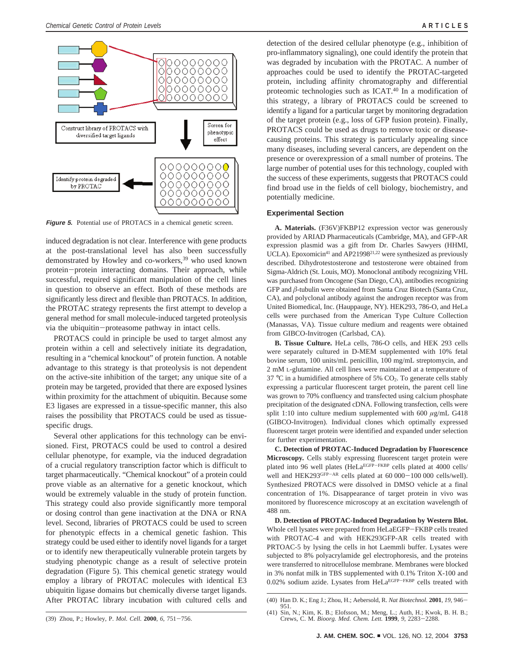

**Figure 5.** Potential use of PROTACS in a chemical genetic screen.

induced degradation is not clear. Interference with gene products at the post-translational level has also been successfully demonstrated by Howley and co-workers,<sup>39</sup> who used known protein-protein interacting domains. Their approach, while successful, required significant manipulation of the cell lines in question to observe an effect. Both of these methods are significantly less direct and flexible than PROTACS. In addition, the PROTAC strategy represents the first attempt to develop a general method for small molecule-induced targeted proteolysis via the ubiquitin-proteasome pathway in intact cells.

PROTACS could in principle be used to target almost any protein within a cell and selectively initiate its degradation, resulting in a "chemical knockout" of protein function. A notable advantage to this strategy is that proteolysis is not dependent on the active-site inhibition of the target; any unique site of a protein may be targeted, provided that there are exposed lysines within proximity for the attachment of ubiquitin. Because some E3 ligases are expressed in a tissue-specific manner, this also raises the possibility that PROTACS could be used as tissuespecific drugs.

Several other applications for this technology can be envisioned. First, PROTACS could be used to control a desired cellular phenotype, for example, via the induced degradation of a crucial regulatory transcription factor which is difficult to target pharmaceutically. "Chemical knockout" of a protein could prove viable as an alternative for a genetic knockout, which would be extremely valuable in the study of protein function. This strategy could also provide significantly more temporal or dosing control than gene inactivation at the DNA or RNA level. Second, libraries of PROTACS could be used to screen for phenotypic effects in a chemical genetic fashion. This strategy could be used either to identify novel ligands for a target or to identify new therapeutically vulnerable protein targets by studying phenotypic change as a result of selective protein degradation (Figure 5). This chemical genetic strategy would employ a library of PROTAC molecules with identical E3 ubiquitin ligase domains but chemically diverse target ligands. After PROTAC library incubation with cultured cells and

detection of the desired cellular phenotype (e.g., inhibition of pro-inflammatory signaling), one could identify the protein that was degraded by incubation with the PROTAC. A number of approaches could be used to identify the PROTAC-targeted protein, including affinity chromatography and differential proteomic technologies such as ICAT.40 In a modification of this strategy, a library of PROTACS could be screened to identify a ligand for a particular target by monitoring degradation of the target protein (e.g., loss of GFP fusion protein). Finally, PROTACS could be used as drugs to remove toxic or diseasecausing proteins. This strategy is particularly appealing since many diseases, including several cancers, are dependent on the presence or overexpression of a small number of proteins. The large number of potential uses for this technology, coupled with the success of these experiments, suggests that PROTACS could find broad use in the fields of cell biology, biochemistry, and potentially medicine.

## **Experimental Section**

**A. Materials.** (F36V)FKBP12 expression vector was generously provided by ARIAD Pharmaceuticals (Cambridge, MA), and GFP-AR expression plasmid was a gift from Dr. Charles Sawyers (HHMI, UCLA). Epoxomicin<sup>41</sup> and AP21998<sup>21,22</sup> were synthesized as previously described. Dihydrotestosterone and testosterone were obtained from Sigma-Aldrich (St. Louis, MO). Monoclonal antibody recognizing VHL was purchased from Oncogene (San Diego, CA), antibodies recognizing GFP and *â*-tubulin were obtained from Santa Cruz Biotech (Santa Cruz, CA), and polyclonal antibody against the androgen receptor was from United Biomedical, Inc. (Hauppauge, NY). HEK293, 786-O, and HeLa cells were purchased from the American Type Culture Collection (Manassas, VA). Tissue culture medium and reagents were obtained from GIBCO-Invitrogen (Carlsbad, CA).

**B. Tissue Culture.** HeLa cells, 786-O cells, and HEK 293 cells were separately cultured in D-MEM supplemented with 10% fetal bovine serum, 100 units/mL penicillin, 100 mg/mL streptomycin, and 2 mM L-glutamine. All cell lines were maintained at a temperature of  $37 \text{ °C}$  in a humidified atmosphere of 5%  $CO<sub>2</sub>$ . To generate cells stably expressing a particular fluorescent target protein, the parent cell line was grown to 70% confluency and transfected using calcium phosphate precipitation of the designated cDNA. Following transfection, cells were split 1:10 into culture medium supplemented with 600 *µ*g/mL G418 (GIBCO-Invitrogen). Individual clones which optimally expressed fluorescent target protein were identified and expanded under selection for further experimentation.

**C. Detection of PROTAC-Induced Degradation by Fluorescence Microscopy***.* Cells stably expressing fluorescent target protein were plated into 96 well plates (HeLa<sup>EGFP-FKBP</sup> cells plated at 4000 cells/ well and HEK293<sup>GFP-AR</sup> cells plated at 60 000-100 000 cells/well). Synthesized PROTACS were dissolved in DMSO vehicle at a final concentration of 1%. Disappearance of target protein in vivo was monitored by fluorescence microscopy at an excitation wavelength of 488 nm.

**D. Detection of PROTAC-Induced Degradation by Western Blot.** Whole cell lysates were prepared from HeLaEGFP-FKBP cells treated with PROTAC-4 and with HEK293GFP-AR cells treated with PRTOAC-5 by lysing the cells in hot Laemmli buffer. Lysates were subjected to 8% polyacrylamide gel electrophoresis, and the proteins were transferred to nitrocellulose membrane. Membranes were blocked in 3% nonfat milk in TBS supplemented with 0.1% Triton X-100 and 0.02% sodium azide. Lysates from HeLaEGFP-FKBP cells treated with

<sup>(40)</sup> Han D. K.; Eng J.; Zhou, H.; Aebersold, R. *Nat Biotechnol.* **<sup>2001</sup>**, *<sup>19</sup>*, 946- 951.

<sup>(41)</sup> Sin, N.; Kim, K. B.; Elofsson, M.; Meng, L.; Auth, H.; Kwok, B. H. B.; Crews, C. M. *Bioorg. Med. Chem. Lett.* **<sup>1999</sup>**, *<sup>9</sup>*, 2283-2288.